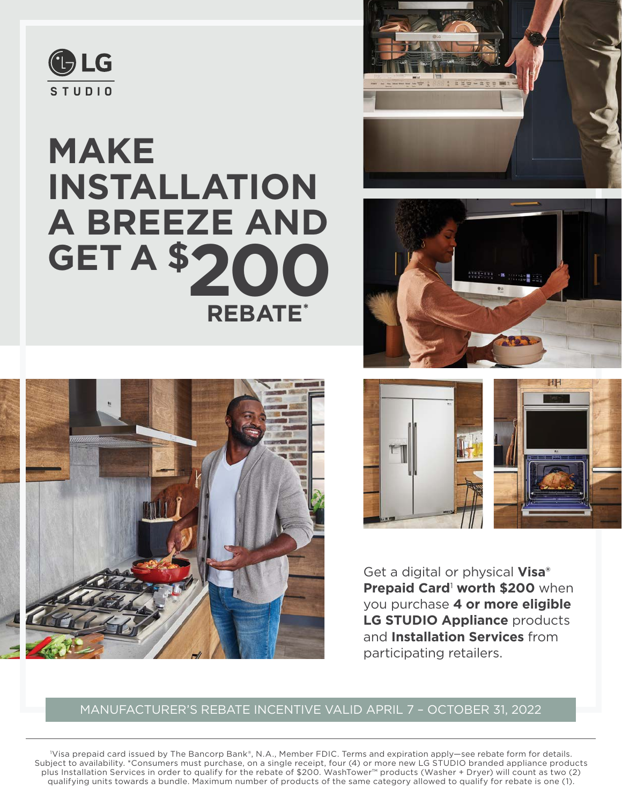

# **MAKE INSTALLATION A BREEZE AND GET A \$ 200 REBATE\***











Get a digital or physical **Visa® Prepaid Card<sup>1</sup> worth \$200** when you purchase **4 or more eligible LG STUDIO Appliance** products and **Installation Services** from participating retailers.

## MANUFACTURER'S REBATE INCENTIVE VALID APRIL 7 – OCTOBER 31, 2022

1 Visa prepaid card issued by The Bancorp Bank®, N.A., Member FDIC. Terms and expiration apply—see rebate form for details. Subject to availability. \*Consumers must purchase, on a single receipt, four (4) or more new LG STUDIO branded appliance products plus Installation Services in order to qualify for the rebate of \$200. WashTower™ products (Washer + Dryer) will count as two (2) qualifying units towards a bundle. Maximum number of products of the same category allowed to qualify for rebate is one (1).